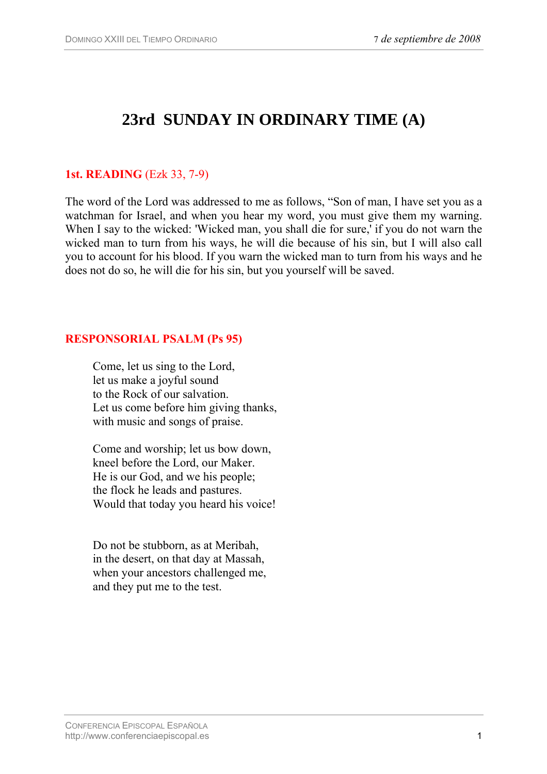# **23rd SUNDAY IN ORDINARY TIME (A)**

### **1st. READING** (Ezk 33, 7-9)

The word of the Lord was addressed to me as follows, "Son of man, I have set you as a watchman for Israel, and when you hear my word, you must give them my warning. When I say to the wicked: 'Wicked man, you shall die for sure,' if you do not warn the wicked man to turn from his ways, he will die because of his sin, but I will also call you to account for his blood. If you warn the wicked man to turn from his ways and he does not do so, he will die for his sin, but you yourself will be saved.

#### **RESPONSORIAL PSALM (Ps 95)**

Come, let us sing to the Lord, let us make a joyful sound to the Rock of our salvation. Let us come before him giving thanks, with music and songs of praise.

Come and worship; let us bow down, kneel before the Lord, our Maker. He is our God, and we his people; the flock he leads and pastures. Would that today you heard his voice!

Do not be stubborn, as at Meribah, in the desert, on that day at Massah, when your ancestors challenged me, and they put me to the test.